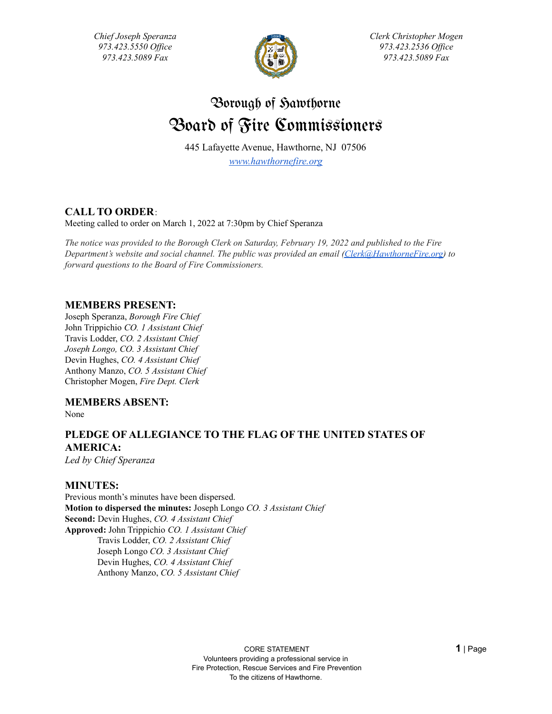*Chief Joseph Speranza 973.423.5550 Of ice 973.423.5089 Fax*



*Clerk Christopher Mogen 973.423.2536 Of ice 973.423.5089 Fax*

# Borough of Sawthorne Board of Fire Commissioners

445 Lafayette Avenue, Hawthorne, NJ 07506

*[www.hawthornefire.org](http://www.hawthornefire.org)*

# **CALL TO ORDER**:

Meeting called to order on March 1, 2022 at 7:30pm by Chief Speranza

The notice was provided to the Borough Clerk on Saturday, February 19, 2022 and published to the Fire *Department's website and social channel. The public was provided an email [\(Clerk@HawthorneFire.org\)](mailto:Clerk@HawthorneFire.org) to forward questions to the Board of Fire Commissioners.*

# **MEMBERS PRESENT:**

Joseph Speranza, *Borough Fire Chief* John Trippichio *CO. 1 Assistant Chief* Travis Lodder, *CO. 2 Assistant Chief Joseph Longo, CO. 3 Assistant Chief* Devin Hughes, *CO. 4 Assistant Chief* Anthony Manzo, *CO. 5 Assistant Chief* Christopher Mogen, *Fire Dept. Clerk*

# **MEMBERS ABSENT:**

None

# **PLEDGE OF ALLEGIANCE TO THE FLAG OF THE UNITED STATES OF AMERICA:**

*Led by Chief Speranza*

# **MINUTES:**

Previous month's minutes have been dispersed. **Motion to dispersed the minutes:** Joseph Longo *CO. 3 Assistant Chief* **Second:** Devin Hughes, *CO. 4 Assistant Chief* **Approved:** John Trippichio *CO. 1 Assistant Chief* Travis Lodder, *CO. 2 Assistant Chief* Joseph Longo *CO. 3 Assistant Chief* Devin Hughes, *CO. 4 Assistant Chief* Anthony Manzo, *CO. 5 Assistant Chief*

> CORE STATEMENT **1** | Page Volunteers providing a professional service in Fire Protection, Rescue Services and Fire Prevention To the citizens of Hawthorne.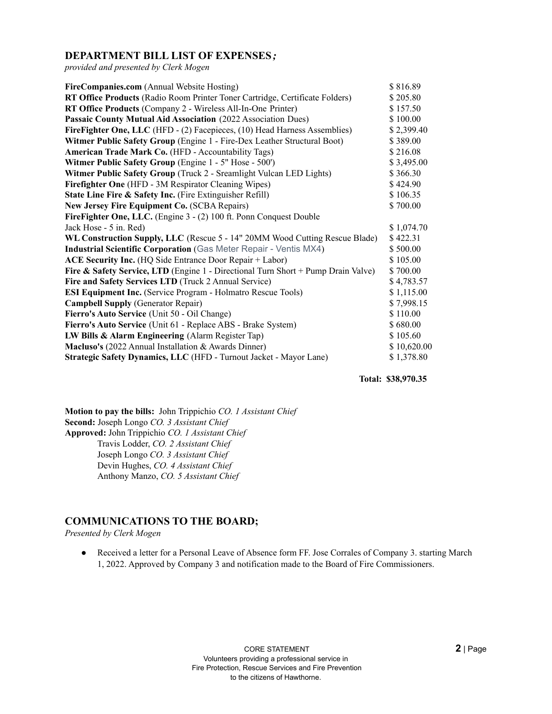# **DEPARTMENT BILL LIST OF EXPENSES***;*

*provided and presented by Clerk Mogen*

| FireCompanies.com (Annual Website Hosting)                                        | \$816.89    |
|-----------------------------------------------------------------------------------|-------------|
| RT Office Products (Radio Room Printer Toner Cartridge, Certificate Folders)      | \$205.80    |
| RT Office Products (Company 2 - Wireless All-In-One Printer)                      | \$157.50    |
| Passaic County Mutual Aid Association (2022 Association Dues)                     | \$100.00    |
| FireFighter One, LLC (HFD - (2) Facepieces, (10) Head Harness Assemblies)         | \$2,399.40  |
| Witmer Public Safety Group (Engine 1 - Fire-Dex Leather Structural Boot)          | \$389.00    |
| American Trade Mark Co. (HFD - Accountability Tags)                               | \$216.08    |
| Witmer Public Safety Group (Engine 1 - 5" Hose - 500")                            | \$3,495.00  |
| Witmer Public Safety Group (Truck 2 - Sreamlight Vulcan LED Lights)               | \$366.30    |
| Firefighter One (HFD - 3M Respirator Cleaning Wipes)                              | \$424.90    |
| State Line Fire & Safety Inc. (Fire Extinguisher Refill)                          | \$106.35    |
| New Jersey Fire Equipment Co. (SCBA Repairs)                                      | \$700.00    |
| FireFighter One, LLC. (Engine 3 - (2) 100 ft. Ponn Conquest Double                |             |
| Jack Hose - 5 in. Red)                                                            | \$1,074.70  |
| WL Construction Supply, LLC (Rescue 5 - 14" 20MM Wood Cutting Rescue Blade)       | \$422.31    |
| <b>Industrial Scientific Corporation (Gas Meter Repair - Ventis MX4)</b>          | \$500.00    |
| ACE Security Inc. (HQ Side Entrance Door Repair + Labor)                          | \$105.00    |
| Fire & Safety Service, LTD (Engine 1 - Directional Turn Short + Pump Drain Valve) | \$700.00    |
| Fire and Safety Services LTD (Truck 2 Annual Service)                             | \$4,783.57  |
| <b>ESI Equipment Inc.</b> (Service Program - Holmatro Rescue Tools)               | \$1,115.00  |
| <b>Campbell Supply (Generator Repair)</b>                                         | \$7,998.15  |
| Fierro's Auto Service (Unit 50 - Oil Change)                                      | \$110.00    |
| Fierro's Auto Service (Unit 61 - Replace ABS - Brake System)                      | \$680.00    |
| LW Bills & Alarm Engineering (Alarm Register Tap)                                 | \$105.60    |
| Macluso's (2022 Annual Installation & Awards Dinner)                              | \$10,620.00 |
| Strategic Safety Dynamics, LLC (HFD - Turnout Jacket - Mayor Lane)                | \$1,378.80  |

**Total: \$38,970.35**

**Motion to pay the bills:** John Trippichio *CO. 1 Assistant Chief* **Second:** Joseph Longo *CO. 3 Assistant Chief* **Approved:** John Trippichio *CO. 1 Assistant Chief* Travis Lodder, *CO. 2 Assistant Chief* Joseph Longo *CO. 3 Assistant Chief* Devin Hughes, *CO. 4 Assistant Chief* Anthony Manzo, *CO. 5 Assistant Chief*

# **COMMUNICATIONS TO THE BOARD;**

*Presented by Clerk Mogen*

● Received a letter for a Personal Leave of Absence form FF. Jose Corrales of Company 3. starting March 1, 2022. Approved by Company 3 and notification made to the Board of Fire Commissioners.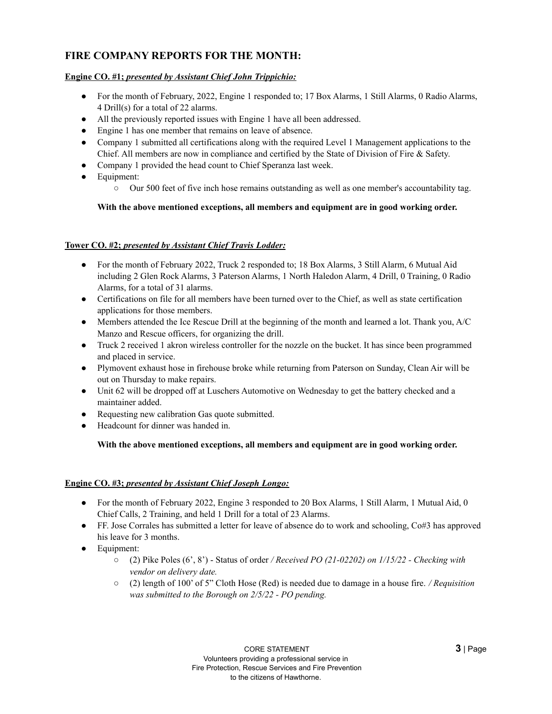# **FIRE COMPANY REPORTS FOR THE MONTH:**

# **Engine CO. #1;** *presented by Assistant Chief John Trippichio:*

- For the month of February, 2022, Engine 1 responded to; 17 Box Alarms, 1 Still Alarms, 0 Radio Alarms, 4 Drill(s) for a total of 22 alarms.
- All the previously reported issues with Engine 1 have all been addressed.
- Engine 1 has one member that remains on leave of absence.
- Company 1 submitted all certifications along with the required Level 1 Management applications to the Chief. All members are now in compliance and certified by the State of Division of Fire & Safety.
- Company 1 provided the head count to Chief Speranza last week.
- Equipment:
	- Our 500 feet of five inch hose remains outstanding as well as one member's accountability tag.

**With the above mentioned exceptions, all members and equipment are in good working order.**

# **Tower CO. #2;** *presented by Assistant Chief Travis Lodder:*

- For the month of February 2022, Truck 2 responded to; 18 Box Alarms, 3 Still Alarm, 6 Mutual Aid including 2 Glen Rock Alarms, 3 Paterson Alarms, 1 North Haledon Alarm, 4 Drill, 0 Training, 0 Radio Alarms, for a total of 31 alarms.
- Certifications on file for all members have been turned over to the Chief, as well as state certification applications for those members.
- Members attended the Ice Rescue Drill at the beginning of the month and learned a lot. Thank you, A/C Manzo and Rescue officers, for organizing the drill.
- Truck 2 received 1 akron wireless controller for the nozzle on the bucket. It has since been programmed and placed in service.
- Plymovent exhaust hose in firehouse broke while returning from Paterson on Sunday, Clean Air will be out on Thursday to make repairs.
- Unit 62 will be dropped off at Luschers Automotive on Wednesday to get the battery checked and a maintainer added.
- Requesting new calibration Gas quote submitted.
- Headcount for dinner was handed in.

# **With the above mentioned exceptions, all members and equipment are in good working order.**

# **Engine CO. #3;** *presented by Assistant Chief Joseph Longo:*

- For the month of February 2022, Engine 3 responded to 20 Box Alarms, 1 Still Alarm, 1 Mutual Aid, 0 Chief Calls, 2 Training, and held 1 Drill for a total of 23 Alarms.
- FF. Jose Corrales has submitted a letter for leave of absence do to work and schooling, Co#3 has approved his leave for 3 months.
- Equipment:
	- (2) Pike Poles (6', 8') Status of order */ Received PO (21-02202) on 1/15/22 - Checking with vendor on delivery date.*
	- (2) length of 100' of 5" Cloth Hose (Red) is needed due to damage in a house fire. */ Requisition was submitted to the Borough on 2/5/22 - PO pending.*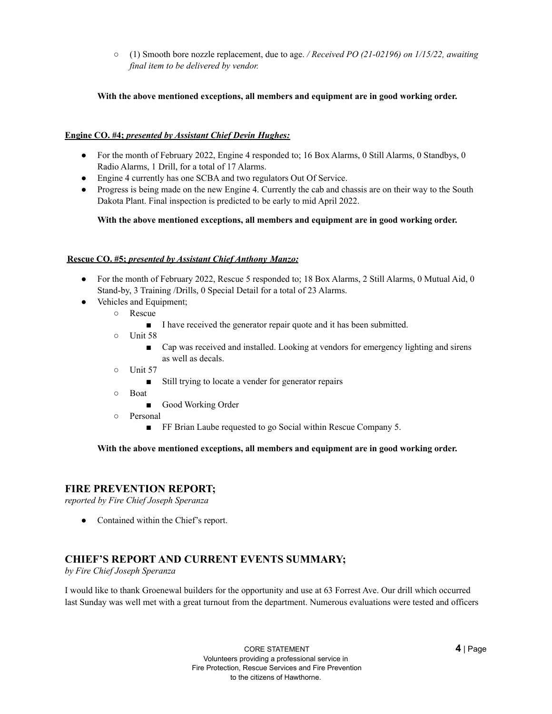*○* (1) Smooth bore nozzle replacement, due to age. */ Received PO (21-02196) on 1/15/22, awaiting final item to be delivered by vendor.*

### **With the above mentioned exceptions, all members and equipment are in good working order.**

#### **Engine CO. #4;** *presented by Assistant Chief Devin Hughes:*

- For the month of February 2022, Engine 4 responded to; 16 Box Alarms, 0 Still Alarms, 0 Standbys, 0 Radio Alarms, 1 Drill, for a total of 17 Alarms.
- Engine 4 currently has one SCBA and two regulators Out Of Service.
- Progress is being made on the new Engine 4. Currently the cab and chassis are on their way to the South Dakota Plant. Final inspection is predicted to be early to mid April 2022.

# **With the above mentioned exceptions, all members and equipment are in good working order.**

#### **Rescue CO. #5;** *presented by Assistant Chief Anthony Manzo:*

- For the month of February 2022, Rescue 5 responded to; 18 Box Alarms, 2 Still Alarms, 0 Mutual Aid, 0 Stand-by, 3 Training /Drills, 0 Special Detail for a total of 23 Alarms.
- Vehicles and Equipment;
	- Rescue
		- I have received the generator repair quote and it has been submitted.
	- Unit 58
		- Cap was received and installed. Looking at vendors for emergency lighting and sirens as well as decals.
	- Unit 57
		- Still trying to locate a vender for generator repairs
	- Boat
		- Good Working Order
	- Personal
		- FF Brian Laube requested to go Social within Rescue Company 5.

**With the above mentioned exceptions, all members and equipment are in good working order.**

# **FIRE PREVENTION REPORT;**

*reported by Fire Chief Joseph Speranza*

• Contained within the Chief's report.

# **CHIEF'S REPORT AND CURRENT EVENTS SUMMARY;**

*by Fire Chief Joseph Speranza*

I would like to thank Groenewal builders for the opportunity and use at 63 Forrest Ave. Our drill which occurred last Sunday was well met with a great turnout from the department. Numerous evaluations were tested and officers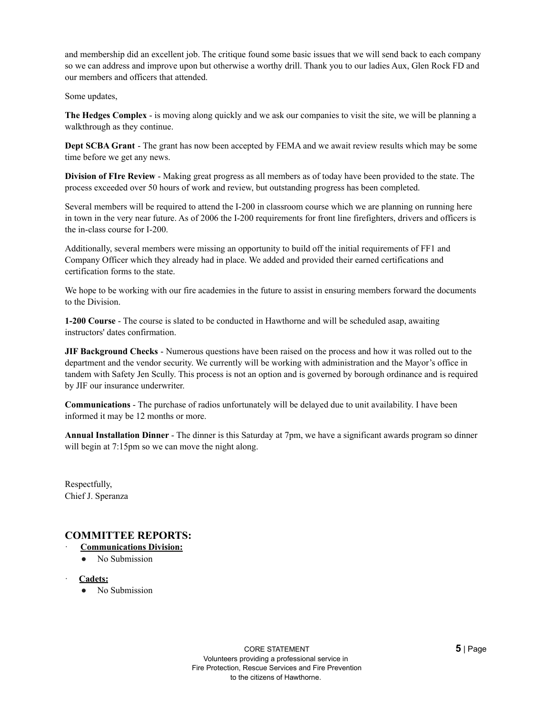and membership did an excellent job. The critique found some basic issues that we will send back to each company so we can address and improve upon but otherwise a worthy drill. Thank you to our ladies Aux, Glen Rock FD and our members and officers that attended.

Some updates,

**The Hedges Complex** - is moving along quickly and we ask our companies to visit the site, we will be planning a walkthrough as they continue.

**Dept SCBA Grant** - The grant has now been accepted by FEMA and we await review results which may be some time before we get any news.

**Division of FIre Review** - Making great progress as all members as of today have been provided to the state. The process exceeded over 50 hours of work and review, but outstanding progress has been completed.

Several members will be required to attend the I-200 in classroom course which we are planning on running here in town in the very near future. As of 2006 the I-200 requirements for front line firefighters, drivers and officers is the in-class course for I-200.

Additionally, several members were missing an opportunity to build off the initial requirements of FF1 and Company Officer which they already had in place. We added and provided their earned certifications and certification forms to the state.

We hope to be working with our fire academies in the future to assist in ensuring members forward the documents to the Division.

**1-200 Course** - The course is slated to be conducted in Hawthorne and will be scheduled asap, awaiting instructors' dates confirmation.

**JIF Background Checks** - Numerous questions have been raised on the process and how it was rolled out to the department and the vendor security. We currently will be working with administration and the Mayor's office in tandem with Safety Jen Scully. This process is not an option and is governed by borough ordinance and is required by JIF our insurance underwriter.

**Communications** - The purchase of radios unfortunately will be delayed due to unit availability. I have been informed it may be 12 months or more.

**Annual Installation Dinner** - The dinner is this Saturday at 7pm, we have a significant awards program so dinner will begin at 7:15pm so we can move the night along.

Respectfully, Chief J. Speranza

# **COMMITTEE REPORTS:**

- · **Communications Division:**
	- No Submission
- · **Cadets:**
	- No Submission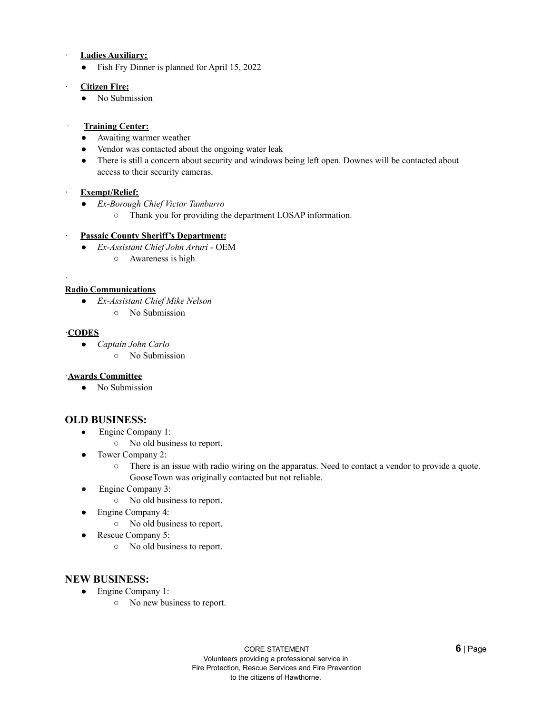#### · **Ladies Auxiliary:**

- Fish Fry Dinner is planned for April 15, 2022
- · **Citizen Fire:**
	- No Submission

#### · **Training Center:**

- Awaiting warmer weather
- Vendor was contacted about the ongoing water leak
- There is still a concern about security and windows being left open. Downes will be contacted about access to their security cameras.

#### · **Exempt/Relief:**

- *Ex-Borough Chief Victor Tamburro*
	- Thank you for providing the department LOSAP information.

#### · **Passaic County Sheriff's Department:**

● *Ex-Assistant Chief John Arturi -* OEM ○ Awareness is high

#### · **Radio Communications**

- *Ex-Assistant Chief Mike Nelson*
	- No Submission

#### ·**CODES**

- *Captain John Carlo*
	- No Submission

#### ·**Awards Committee**

● No Submission

# **OLD BUSINESS:**

- Engine Company 1:
	- No old business to report.
- Tower Company 2:
	- There is an issue with radio wiring on the apparatus. Need to contact a vendor to provide a quote. GooseTown was originally contacted but not reliable.
- Engine Company 3:
	- No old business to report.
- Engine Company 4:
	- No old business to report.
- Rescue Company 5:
	- No old business to report.

### **NEW BUSINESS:**

- Engine Company 1:
	- No new business to report.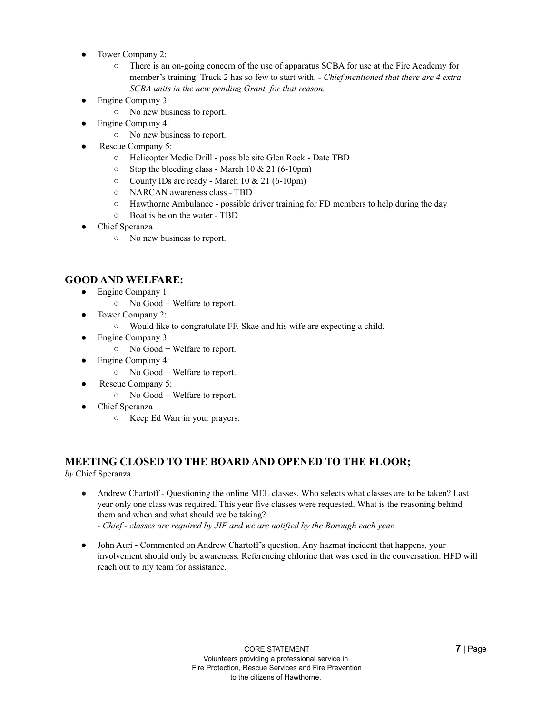- Tower Company 2:
	- There is an on-going concern of the use of apparatus SCBA for use at the Fire Academy for member's training. Truck 2 has so few to start with. - *Chief mentioned that there are 4 extra SCBA units in the new pending Grant, for that reason.*
- Engine Company 3:
	- No new business to report.
- Engine Company 4:
	- No new business to report.
- Rescue Company 5:
	- Helicopter Medic Drill possible site Glen Rock Date TBD
	- $\circ$  Stop the bleeding class March 10 & 21 (6-10pm)
	- $\circ$  County IDs are ready March 10 & 21 (6-10pm)
	- NARCAN awareness class TBD
	- Hawthorne Ambulance possible driver training for FD members to help during the day
	- Boat is be on the water TBD
- **Chief Speranza** 
	- No new business to report.

# **GOOD AND WELFARE:**

- Engine Company 1:
	- $\circ$  No Good + Welfare to report.
- Tower Company 2:
	- Would like to congratulate FF. Skae and his wife are expecting a child.
- Engine Company 3:
	- $\circ$  No Good + Welfare to report.
- Engine Company 4:
	- No Good + Welfare to report.
- Rescue Company 5:
	- No Good + Welfare to report.
- Chief Speranza
	- Keep Ed Warr in your prayers.

# **MEETING CLOSED TO THE BOARD AND OPENED TO THE FLOOR;**

*by* Chief Speranza

- Andrew Chartoff Questioning the online MEL classes. Who selects what classes are to be taken? Last year only one class was required. This year five classes were requested. What is the reasoning behind them and when and what should we be taking?
	- *- Chief - classes are required by JIF and we are notified by the Borough each year.*
- *●* John Auri Commented on Andrew Chartoff's question. Any hazmat incident that happens, your involvement should only be awareness. Referencing chlorine that was used in the conversation. HFD will reach out to my team for assistance.